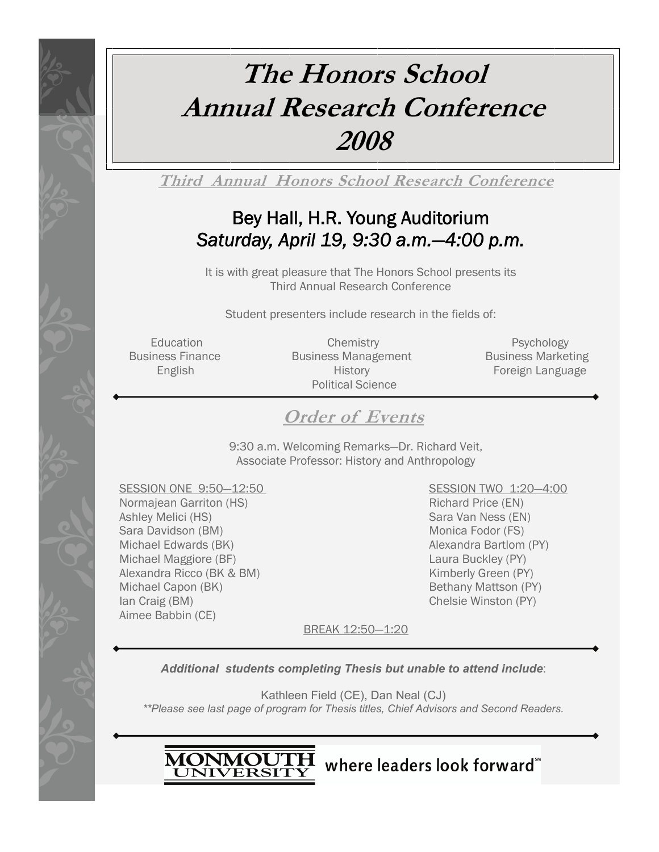# **The Honors School Annual Research Conference 2008**

**Third Annual Honors School Research Conference**

# Bey Hall, H.R. Young Auditorium *Saturday, April 19, 9:30 a.m.—4:00 p.m.*

It is with great pleasure that The Honors School presents its Third Annual Research Conference

Student presenters include research in the fields of:

Education Chemistry Chemistry Psychology Business Finance **Business Management** Business Marketing English History Foreign Language Political Science

## **Order of Events**

9:30 a.m. Welcoming Remarks—Dr. Richard Veit, Associate Professor: History and Anthropology

SESSION ONE 9:50-12:50 SESSION TWO 1:20-4:00 Normajean Garriton (HS) **Richard Price (EN)** Richard Price (EN) Ashley Melici (HS) Sara Van Ness (EN) Sara Davidson (BM) Monica Fodor (FS) Michael Edwards (BK) Alexandra Bartlom (PY) Michael Maggiore (BF) Laura Buckley (PY) Alexandra Ricco (BK & BM) Kimberly Green (PY) Michael Capon (BK) Bethany Mattson (PY) Ian Craig (BM) Chelsie Winston (PY) Aimee Babbin (CE)

BREAK 12:50—1:20

*Additional students completing Thesis but unable to attend include*:

Kathleen Field (CE), Dan Neal (CJ) *\*\*Please see last page of program for Thesis titles, Chief Advisors and Second Readers.* 



MONMOUTH where leaders look forward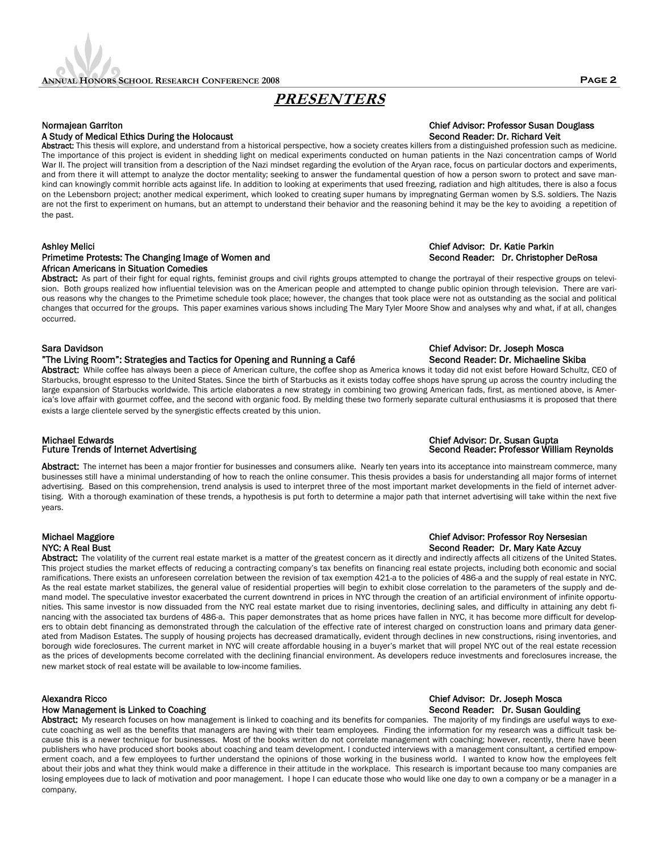## **PRESENTERS**

## A Study of Medical Ethics During the Holocaust Second Reader: Dr. Richard Veit

Abstract: This thesis will explore, and understand from a historical perspective, how a society creates killers from a distinguished profession such as medicine. The importance of this project is evident in shedding light on medical experiments conducted on human patients in the Nazi concentration camps of World War II. The project will transition from a description of the Nazi mindset regarding the evolution of the Aryan race, focus on particular doctors and experiments, and from there it will attempt to analyze the doctor mentality; seeking to answer the fundamental question of how a person sworn to protect and save mankind can knowingly commit horrible acts against life. In addition to looking at experiments that used freezing, radiation and high altitudes, there is also a focus on the Lebensborn project; another medical experiment, which looked to creating super humans by impregnating German women by S.S. soldiers. The Nazis are not the first to experiment on humans, but an attempt to understand their behavior and the reasoning behind it may be the key to avoiding a repetition of the past.

## Primetime Protests: The Changing Image of Women and Second Reader: Dr. Christopher DeRosa African Americans in Situation Comedies

Abstract: As part of their fight for equal rights, feminist groups and civil rights groups attempted to change the portrayal of their respective groups on television. Both groups realized how influential television was on the American people and attempted to change public opinion through television. There are various reasons why the changes to the Primetime schedule took place; however, the changes that took place were not as outstanding as the social and political changes that occurred for the groups. This paper examines various shows including The Mary Tyler Moore Show and analyses why and what, if at all, changes occurred.

### Sara Davidson Chief Advisor: Dr. Joseph Mosca

### "The Living Room": Strategies and Tactics for Opening and Running a Café Second Reader: Dr. Michaeline Skiba

Abstract: While coffee has always been a piece of American culture, the coffee shop as America knows it today did not exist before Howard Schultz, CEO of Starbucks, brought espresso to the United States. Since the birth of Starbucks as it exists today coffee shops have sprung up across the country including the large expansion of Starbucks worldwide. This article elaborates a new strategy in combining two growing American fads, first, as mentioned above, is America's love affair with gourmet coffee, and the second with organic food. By melding these two formerly separate cultural enthusiasms it is proposed that there exists a large clientele served by the synergistic effects created by this union.

## Michael Edwards Chief Advisor: Dr. Susan Gupta

Abstract: The internet has been a major frontier for businesses and consumers alike. Nearly ten years into its acceptance into mainstream commerce, many businesses still have a minimal understanding of how to reach the online consumer. This thesis provides a basis for understanding all major forms of internet advertising. Based on this comprehension, trend analysis is used to interpret three of the most important market developments in the field of internet advertising. With a thorough examination of these trends, a hypothesis is put forth to determine a major path that internet advertising will take within the next five years.

# Michael Maggiore Chief Advisor: Professor Roy Nersesian

Abstract: The volatility of the current real estate market is a matter of the greatest concern as it directly and indirectly affects all citizens of the United States. This project studies the market effects of reducing a contracting company's tax benefits on financing real estate projects, including both economic and social ramifications. There exists an unforeseen correlation between the revision of tax exemption 421-a to the policies of 486-a and the supply of real estate in NYC. As the real estate market stabilizes, the general value of residential properties will begin to exhibit close correlation to the parameters of the supply and demand model. The speculative investor exacerbated the current downtrend in prices in NYC through the creation of an artificial environment of infinite opportunities. This same investor is now dissuaded from the NYC real estate market due to rising inventories, declining sales, and difficulty in attaining any debt financing with the associated tax burdens of 486-a. This paper demonstrates that as home prices have fallen in NYC, it has become more difficult for developers to obtain debt financing as demonstrated through the calculation of the effective rate of interest charged on construction loans and primary data generated from Madison Estates. The supply of housing projects has decreased dramatically, evident through declines in new constructions, rising inventories, and borough wide foreclosures. The current market in NYC will create affordable housing in a buyer's market that will propel NYC out of the real estate recession as the prices of developments become correlated with the declining financial environment. As developers reduce investments and foreclosures increase, the new market stock of real estate will be available to low-income families.

### Alexandra Ricco Chief Advisor: Dr. Joseph Mosca

## How Management is Linked to Coaching Second Reader: Dr. Susan Goulding Second Reader: Dr. Susan Goulding

Abstract: My research focuses on how management is linked to coaching and its benefits for companies. The majority of my findings are useful ways to execute coaching as well as the benefits that managers are having with their team employees. Finding the information for my research was a difficult task because this is a newer technique for businesses. Most of the books written do not correlate management with coaching; however, recently, there have been publishers who have produced short books about coaching and team development. I conducted interviews with a management consultant, a certified empowerment coach, and a few employees to further understand the opinions of those working in the business world. I wanted to know how the employees felt about their jobs and what they think would make a difference in their attitude in the workplace. This research is important because too many companies are losing employees due to lack of motivation and poor management. I hope I can educate those who would like one day to own a company or be a manager in a company.

## Normajean Garriton Chief Advisor: Professor Susan Douglass

## Second Reader: Professor William Reynolds

## NYC: A Real Bust Second Reader: Dr. Mary Kate Azcuy

# Ashley Melici Chief Advisor: Dr. Katie Parkin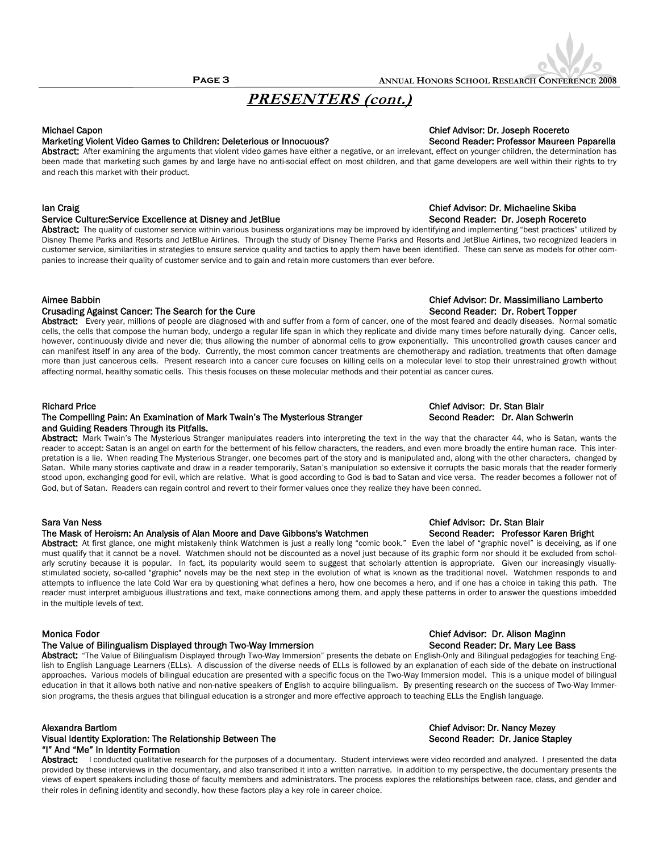## **PRESENTERS (cont.)**

## Marketing Violent Video Games to Children: Deleterious or Innocuous? Second Reader: Professor Maureen Paparella

Abstract: After examining the arguments that violent video games have either a negative, or an irrelevant, effect on younger children, the determination has been made that marketing such games by and large have no anti-social effect on most children, and that game developers are well within their rights to try and reach this market with their product.

### Service Culture:Service Excellence at Disney and JetBlue Second Second Reader: Dr. Joseph Rocereto

Abstract: The quality of customer service within various business organizations may be improved by identifying and implementing "best practices" utilized by Disney Theme Parks and Resorts and JetBlue Airlines. Through the study of Disney Theme Parks and Resorts and JetBlue Airlines, two recognized leaders in customer service, similarities in strategies to ensure service quality and tactics to apply them have been identified. These can serve as models for other companies to increase their quality of customer service and to gain and retain more customers than ever before.

#### Aimee Babbin Chief Advisor: Dr. Massimiliano Lamberto

## Crusading Against Cancer: The Search for the Cure Second Reader: Dr. Robert Topper

Abstract: Every year, millions of people are diagnosed with and suffer from a form of cancer, one of the most feared and deadly diseases. Normal somatic cells, the cells that compose the human body, undergo a regular life span in which they replicate and divide many times before naturally dying. Cancer cells, however, continuously divide and never die; thus allowing the number of abnormal cells to grow exponentially. This uncontrolled growth causes cancer and can manifest itself in any area of the body. Currently, the most common cancer treatments are chemotherapy and radiation, treatments that often damage more than just cancerous cells. Present research into a cancer cure focuses on killing cells on a molecular level to stop their unrestrained growth without affecting normal, healthy somatic cells. This thesis focuses on these molecular methods and their potential as cancer cures.

### The Compelling Pain: An Examination of Mark Twain's The Mysterious Stranger Second Reader: Dr. Alan Schwerin and Guiding Readers Through its Pitfalls.

Abstract: Mark Twain's The Mysterious Stranger manipulates readers into interpreting the text in the way that the character 44, who is Satan, wants the reader to accept: Satan is an angel on earth for the betterment of his fellow characters, the readers, and even more broadly the entire human race. This interpretation is a lie. When reading The Mysterious Stranger, one becomes part of the story and is manipulated and, along with the other characters, changed by Satan. While many stories captivate and draw in a reader temporarily, Satan's manipulation so extensive it corrupts the basic morals that the reader formerly stood upon, exchanging good for evil, which are relative. What is good according to God is bad to Satan and vice versa. The reader becomes a follower not of God, but of Satan. Readers can regain control and revert to their former values once they realize they have been conned.

### Sara Van Ness Chief Advisor: Dr. Stan Blair

### The Mask of Heroism: An Analysis of Alan Moore and Dave Gibbons's Watchmen Second Reader: Professor Karen Bright

Abstract: At first glance, one might mistakenly think Watchmen is just a really long "comic book." Even the label of "graphic novel" is deceiving, as if one must qualify that it cannot be a novel. Watchmen should not be discounted as a novel just because of its graphic form nor should it be excluded from scholarly scrutiny because it is popular. In fact, its popularity would seem to suggest that scholarly attention is appropriate. Given our increasingly visuallystimulated society, so-called "graphic" novels may be the next step in the evolution of what is known as the traditional novel. Watchmen responds to and attempts to influence the late Cold War era by questioning what defines a hero, how one becomes a hero, and if one has a choice in taking this path. The reader must interpret ambiguous illustrations and text, make connections among them, and apply these patterns in order to answer the questions imbedded in the multiple levels of text.

### The Value of Bilingualism Displayed through Two-Way Immersion Summan Second Reader: Dr. Mary Lee Bass

Abstract: "The Value of Bilingualism Displayed through Two-Way Immersion" presents the debate on English-Only and Bilingual pedagogies for teaching English to English Language Learners (ELLs). A discussion of the diverse needs of ELLs is followed by an explanation of each side of the debate on instructional approaches. Various models of bilingual education are presented with a specific focus on the Two-Way Immersion model. This is a unique model of bilingual education in that it allows both native and non-native speakers of English to acquire bilingualism. By presenting research on the success of Two-Way Immersion programs, the thesis argues that bilingual education is a stronger and more effective approach to teaching ELLs the English language.

### Alexandra Bartlom<br>Visual Identity Exploration: The Relationship Between The Chief Advisor: Dr. Nancy Mezey<br>Visual Identity Exploration: The Relationship Between The Chief Advisor: Second Reader: Dr. Janice Stapley Visual Identity Exploration: The Relationship Between The "I" And "Me" In Identity Formation

Abstract: I conducted qualitative research for the purposes of a documentary. Student interviews were video recorded and analyzed. I presented the data provided by these interviews in the documentary, and also transcribed it into a written narrative. In addition to my perspective, the documentary presents the views of expert speakers including those of faculty members and administrators. The process explores the relationships between race, class, and gender and their roles in defining identity and secondly, how these factors play a key role in career choice.

## Michael Capon Chief Advisor: Dr. Joseph Rocereto

# Ian Craig Chief Advisor: Dr. Michaeline Skiba

## Richard Price Chief Advisor: Dr. Stan Blair

# Monica Fodor Chief Advisor: Dr. Alison Maginn